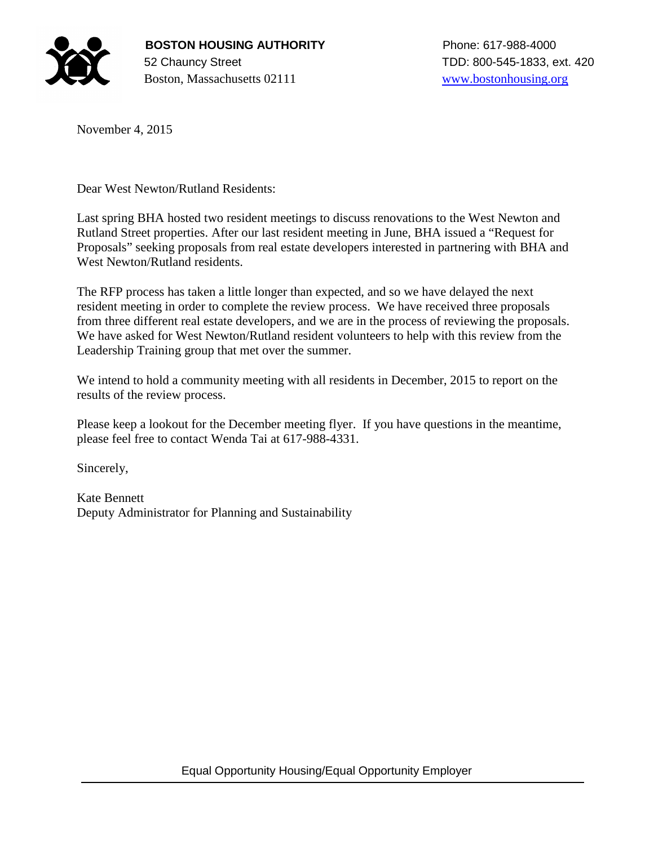

November 4, 2015

Dear West Newton/Rutland Residents:

Last spring BHA hosted two resident meetings to discuss renovations to the West Newton and Rutland Street properties. After our last resident meeting in June, BHA issued a "Request for Proposals" seeking proposals from real estate developers interested in partnering with BHA and West Newton/Rutland residents.

The RFP process has taken a little longer than expected, and so we have delayed the next resident meeting in order to complete the review process. We have received three proposals from three different real estate developers, and we are in the process of reviewing the proposals. We have asked for West Newton/Rutland resident volunteers to help with this review from the Leadership Training group that met over the summer.

We intend to hold a community meeting with all residents in December, 2015 to report on the results of the review process.

Please keep a lookout for the December meeting flyer. If you have questions in the meantime, please feel free to contact Wenda Tai at 617-988-4331.

Sincerely,

Kate Bennett Deputy Administrator for Planning and Sustainability